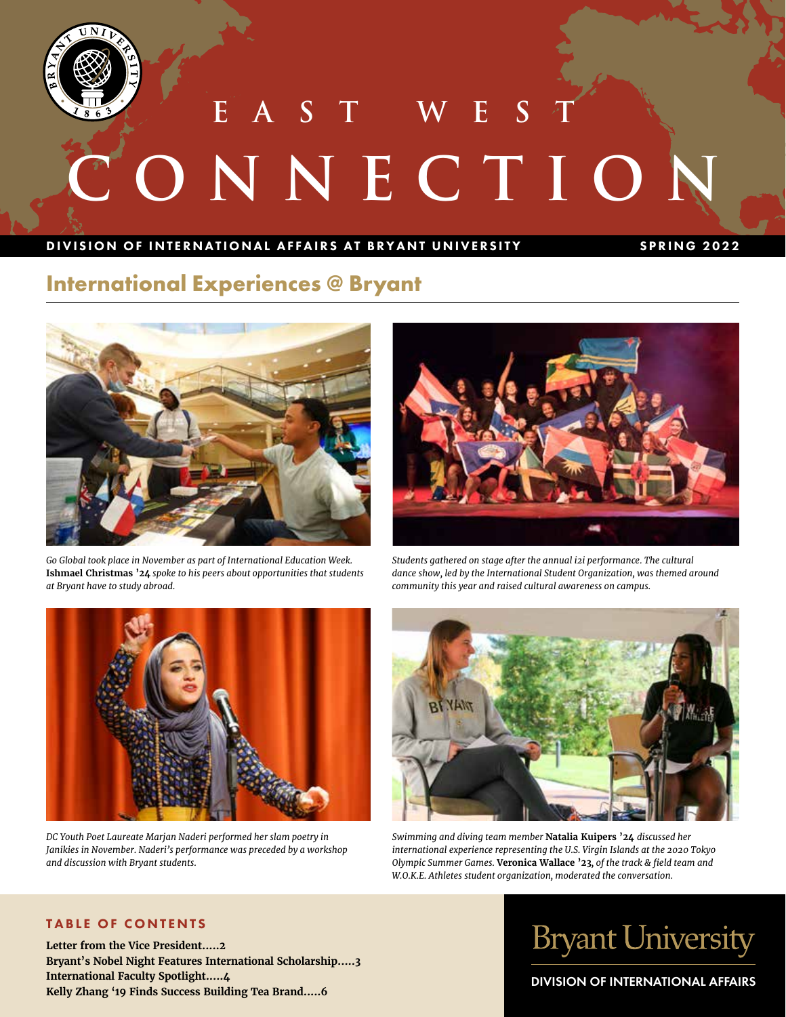

**S** T W E **CONNECTION** 

### DIVISION OF INTERNATIONAL AFFAIRS AT BRYANT UNIVERSITY SPRING 2022

### **International Experiences @ Bryant**



*Go Global took place in November as part of International Education Week.*  **Ishmael Christmas '24** *spoke to his peers about opportunities that students at Bryant have to study abroad.*



*Students gathered on stage after the annual i2i performance. The cultural dance show, led by the International Student Organization, was themed around community this year and raised cultural awareness on campus.* 



*DC Youth Poet Laureate Marjan Naderi performed her slam poetry in Janikies in November. Naderi's performance was preceded by a workshop and discussion with Bryant students.* 



*Swimming and diving team member* **Natalia Kuipers '24** *discussed her international experience representing the U.S. Virgin Islands at the 2020 Tokyo Olympic Summer Games.* **Veronica Wallace '23***, of the track & field team and W.O.K.E. Athletes student organization, moderated the conversation.*

### TABLE OF CONTENTS

**Letter from the Vice President.....2 Bryant's Nobel Night Features International Scholarship.....3 International Faculty Spotlight.....4 Kelly Zhang '19 Finds Success Building Tea Brand.....6**

# **Bryant University**

DIVISION OF INTERNATIONAL AFFAIRS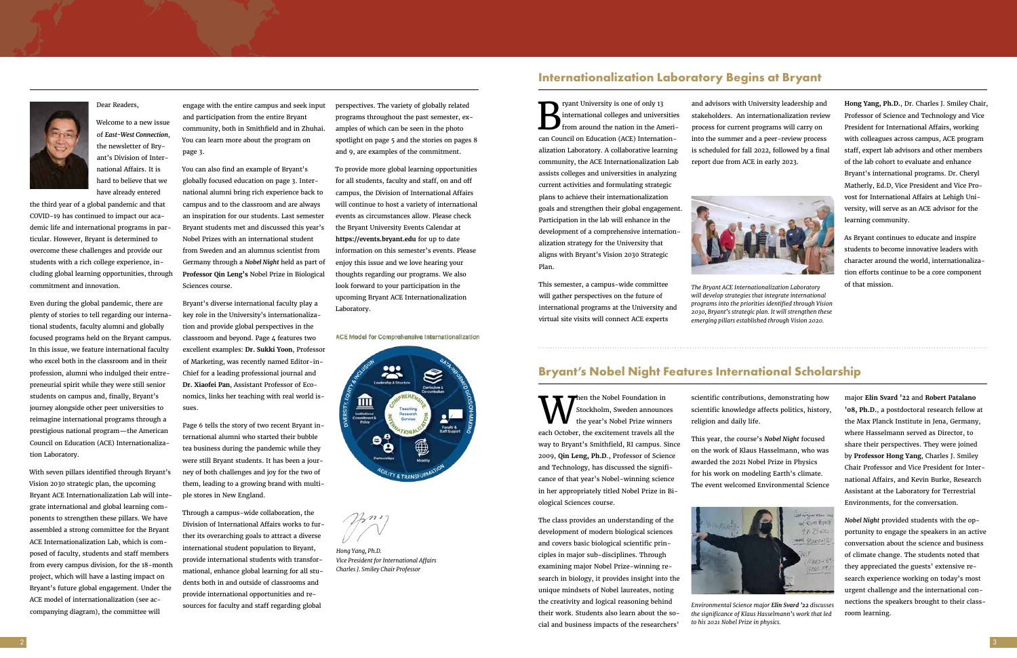### **Internationalization Laboratory Begins at Bryant**



### Dear Readers,

Welcome to a new issue of *East-West Connection*, the newsletter of Bryant's Division of International Affairs. It is hard to believe that we have already entered

the third year of a global pandemic and that COVID-19 has continued to impact our academic life and international programs in particular. However, Bryant is determined to overcome these challenges and provide our students with a rich college experience, including global learning opportunities, through commitment and innovation.

Even during the global pandemic, there are plenty of stories to tell regarding our international students, faculty alumni and globally focused programs held on the Bryant campus. In this issue, we feature international faculty who excel both in the classroom and in their profession, alumni who indulged their entrepreneurial spirit while they were still senior students on campus and, finally, Bryant's journey alongside other peer universities to reimagine international programs through a prestigious national program—the American Council on Education (ACE) Internationalization Laboratory.

With seven pillars identified through Bryant's Vision 2030 strategic plan, the upcoming Bryant ACE Internationalization Lab will integrate international and global learning components to strengthen these pillars. We have assembled a strong committee for the Bryant ACE Internationalization Lab, which is composed of faculty, students and staff members from every campus division, for the 18-month project, which will have a lasting impact on Bryant's future global engagement. Under the ACE model of internationalization (see accompanying diagram), the committee will

engage with the entire campus and seek input and participation from the entire Bryant community, both in Smithfield and in Zhuhai. You can learn more about the program on page 3.

You can also find an example of Bryant's globally focused education on page 3. International alumni bring rich experience back to campus and to the classroom and are always an inspiration for our students. Last semester Bryant students met and discussed this year's Nobel Prizes with an international student from Sweden and an alumnus scientist from Germany through a *Nobel Night* held as part of **Professor Qin Leng's** Nobel Prize in Biological Sciences course.

ryant University is one of only 13 international colleges and universities from around the nation in the American Council on Education (ACE) Internationalization Laboratory. A collaborative learning community, the ACE Internationalization Lab assists colleges and universities in analyzing current activities and formulating strategic plans to achieve their internationalization goals and strengthen their global engagement. Participation in the lab will enhance in the development of a comprehensive internationalization strategy for the University that aligns with Bryant's Vision 2030 Strategic Plan.

Bryant's diverse international faculty play a key role in the University's internationalization and provide global perspectives in the classroom and beyond. Page 4 features two excellent examples: **Dr. Sukki Yoon**, Professor of Marketing, was recently named Editor-in-Chief for a leading professional journal and **Dr. Xiaofei Pan**, Assistant Professor of Economics, links her teaching with real world issues.

Page 6 tells the story of two recent Bryant international alumni who started their bubble tea business during the pandemic while they were still Bryant students. It has been a journey of both challenges and joy for the two of them, leading to a growing brand with multiple stores in New England.

Through a campus-wide collaboration, the Division of International Affairs works to further its overarching goals to attract a diverse international student population to Bryant, provide international students with transformational, enhance global learning for all students both in and outside of classrooms and provide international opportunities and resources for faculty and staff regarding global

Then the Nobel Foundation in Stockholm, Sweden announces the year's Nobel Prize winners each October, the excitement travels all the way to Bryant's Smithfield, RI campus. Since 2009, **Qin Leng, Ph.D**., Professor of Science and Technology, has discussed the significance of that year's Nobel-winning science in her appropriately titled Nobel Prize in Biological Sciences course.

perspectives. The variety of globally related programs throughout the past semester, examples of which can be seen in the photo spotlight on page 5 and the stories on pages 8 and 9, are examples of the commitment.

To provide more global learning opportunities for all students, faculty and staff, on and off campus, the Division of International Affairs will continue to host a variety of international events as circumstances allow. Please check the Bryant University Events Calendar at **https://events.bryant.edu** for up to date information on this semester's events. Please enjoy this issue and we love hearing your thoughts regarding our programs. We also look forward to your participation in the upcoming Bryant ACE Internationalization Laboratory.

**ACE Model for Comprehensive Internationalization** 



*Hong Yang, Ph.D. Vice President for International Affairs Charles J. Smiley Chair Professor*

This semester, a campus-wide committee will gather perspectives on the future of international programs at the University and virtual site visits will connect ACE experts

and advisors with University leadership and stakeholders. An internationalization review process for current programs will carry on into the summer and a peer-review process is scheduled for fall 2022, followed by a final report due from ACE in early 2023.



**Hong Yang, Ph.D.**, Dr. Charles J. Smiley Chair, Professor of Science and Technology and Vice President for International Affairs, working with colleagues across campus, ACE program staff, expert lab advisors and other members of the lab cohort to evaluate and enhance Bryant's international programs. Dr. Cheryl Matherly, Ed.D, Vice President and Vice Provost for International Affairs at Lehigh University, will serve as an ACE advisor for the learning community.

As Bryant continues to educate and inspire students to become innovative leaders with character around the world, internationalization efforts continue to be a core component

of that mission. *The Bryant ACE Internationalization Laboratory will develop strategies that integrate international programs into the priorities identified through Vision 2030, Bryant's strategic plan. It will strengthen these emerging pillars established through Vision 2020.*

### **Bryant's Nobel Night Features International Scholarship**

The class provides an understanding of the development of modern biological sciences and covers basic biological scientific principles in major sub-disciplines. Through examining major Nobel Prize-winning research in biology, it provides insight into the unique mindsets of Nobel laureates, noting the creativity and logical reasoning behind their work. Students also learn about the social and business impacts of the researchers'

scientific contributions, demonstrating how scientific knowledge affects politics, history,



religion and daily life.

This year, the course's *Nobel Night* focused on the work of Klaus Hasselmann, who was awarded the 2021 Nobel Prize in Physics for his work on modeling Earth's climate. The event welcomed Environmental Science major **Elin Svard '22** and **Robert Patalano '08, Ph.D.**, a postdoctoral research fellow at the Max Planck Institute in Jena, Germany, where Hasselmann served as Director, to share their perspectives. They were joined by **Professor Hong Yang**, Charles J. Smiley Chair Professor and Vice President for International Affairs, and Kevin Burke, Research Assistant at the Laboratory for Terrestrial Environments, for the conversation.

*Nobel Night* provided students with the opportunity to engage the speakers in an active conversation about the science and business of climate change. The students noted that they appreciated the guests' extensive research experience working on today's most urgent challenge and the international connections the speakers brought to their classroom learning.



*Environmental Science major Elin Svard '22 discusses the significance of Klaus Hasselmann's work that led to his 2021 Nobel Prize in physics.*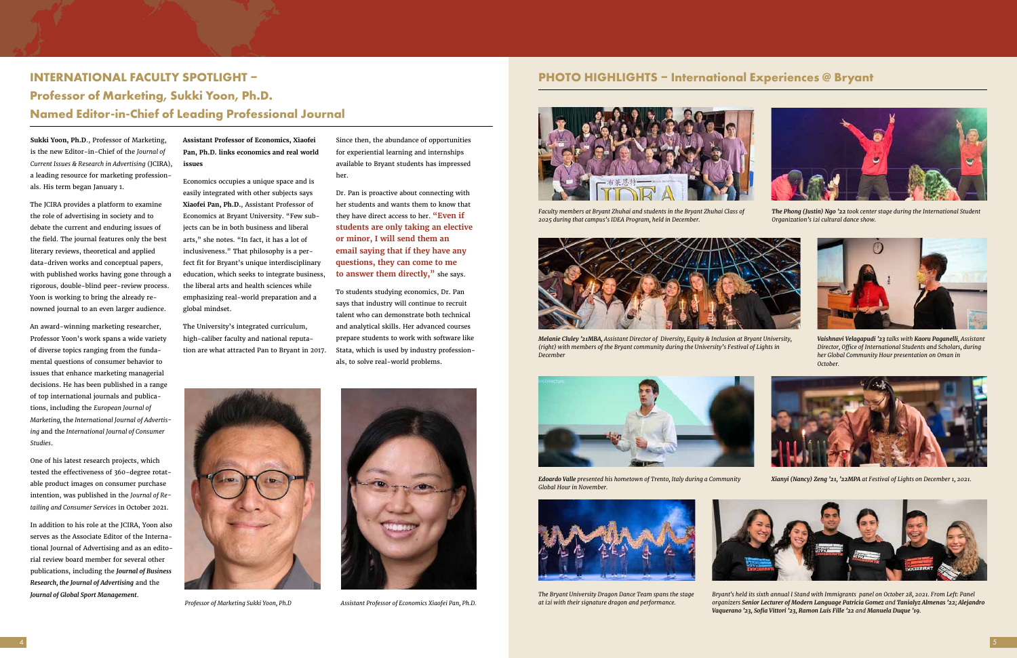## **INTERNATIONAL FACULTY SPOTLIGHT – Experiences @ Bryant** PHOTO HIGHLIGHTS – International Experiences @ Bryant **Professor of Marketing, Sukki Yoon, Ph.D. Named Editor-in-Chief of Leading Professional Journal**

![](_page_2_Picture_14.jpeg)

*Professor of Marketing Sukki Yoon, Ph.D Assistant Professor of Economics Xiaofei Pan, Ph.D.*

**Sukki Yoon, Ph.D**., Professor of Marketing, is the new Editor-in-Chief of the *Journal of Current Issues & Research in Advertising* (JCIRA), a leading resource for marketing professionals. His term began January 1.

The JCIRA provides a platform to examine the role of advertising in society and to debate the current and enduring issues of the field. The journal features only the best literary reviews, theoretical and applied data-driven works and conceptual papers, with published works having gone through a rigorous, double-blind peer-review process. Yoon is working to bring the already renowned journal to an even larger audience.

An award-winning marketing researcher, Professor Yoon's work spans a wide variety of diverse topics ranging from the fundamental questions of consumer behavior to issues that enhance marketing managerial decisions. He has been published in a range of top international journals and publications, including the *European Journal of Marketing,* the *International Journal of Advertising* and the *International Journal of Consumer Studies*.

One of his latest research projects, which tested the effectiveness of 360-degree rotatable product images on consumer purchase intention, was published in the *Journal of Retailing and Consumer Services* in October 2021.

In addition to his role at the JCIRA, Yoon also serves as the Associate Editor of the International Journal of Advertising and as an editorial review board member for several other publications, including the *Journal of Business Research, the Journal of Advertising* and the *Journal of Global Sport Management*.

**Assistant Professor of Economics, Xiaofei Pan, Ph.D. links economics and real world issues**

Economics occupies a unique space and is easily integrated with other subjects says **Xiaofei Pan, Ph.D.**, Assistant Professor of Economics at Bryant University. "Few subjects can be in both business and liberal arts," she notes. "In fact, it has a lot of inclusiveness." That philosophy is a perfect fit for Bryant's unique interdisciplinary education, which seeks to integrate business, the liberal arts and health sciences while emphasizing real-world preparation and a global mindset.

The University's integrated curriculum, high-caliber faculty and national reputation are what attracted Pan to Bryant in 2017. Since then, the abundance of opportunities for experiential learning and internships available to Bryant students has impressed her.

Dr. Pan is proactive about connecting with her students and wants them to know that they have direct access to her. **"Even if students are only taking an elective or minor, I will send them an email saying that if they have any questions, they can come to me to answer them directly,"** she says.

To students studying economics, Dr. Pan says that industry will continue to recruit talent who can demonstrate both technical and analytical skills. Her advanced courses prepare students to work with software like Stata, which is used by industry professionals, to solve real-world problems.

![](_page_2_Picture_12.jpeg)

![](_page_2_Picture_17.jpeg)

*Faculty members at Bryant Zhuhai and students in the Bryant Zhuhai Class of 2025 during that campus's IDEA Program, held in December.* 

![](_page_2_Picture_29.jpeg)

*The Phong (Justin) Ngo '22 took center stage during the International Student Organization's i2i cultural dance show.*

![](_page_2_Picture_19.jpeg)

*Melanie Cluley '21MBA, Assistant Director of Diversity, Equity & Inclusion at Bryant University, (right) with members of the Bryant community during the University's Festival of Lights in December* 

![](_page_2_Picture_31.jpeg)

*Vaishnavi Velagapudi '23 talks with Kaoru Paganelli, Assistant Director, Office of International Students and Scholars, during her Global Community Hour presentation on Oman in October.*

![](_page_2_Picture_21.jpeg)

*Edoardo Valle presented his hometown of Trento, Italy during a Community Global Hour in November.* 

*Xianyi (Nancy) Zeng '21, '22MPA at Festival of Lights on December 1, 2021.*

![](_page_2_Picture_34.jpeg)

![](_page_2_Picture_23.jpeg)

*The Bryant University Dragon Dance Team spans the stage at i2i with their signature dragon and performance.* 

*Bryant's held its sixth annual I Stand with Immigrants panel on October 28, 2021. From Left: Panel organizers Senior Lecturer of Modern Language Patricia Gomez and Tanialyz Almenas '22; Alejandro Vaquerano '23, Sofia Vittori '23, Ramon Luis Fille '22 and Manuela Duque '19.*

![](_page_2_Picture_28.jpeg)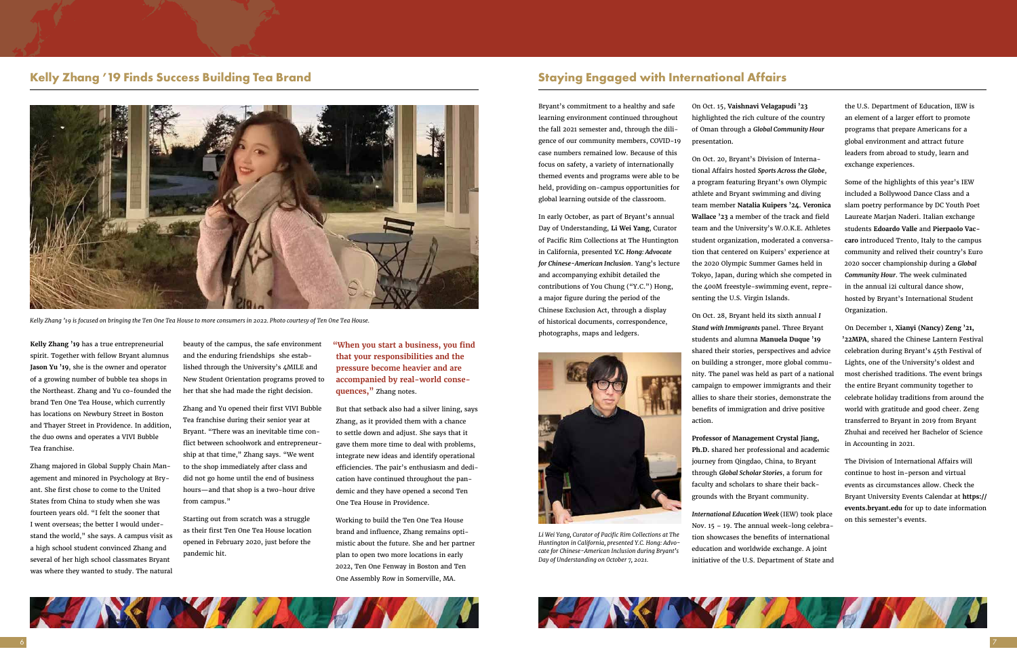### **Kelly Zhang '19 Finds Success Building Tea Brand**

**Kelly Zhang '19** has a true entrepreneurial spirit. Together with fellow Bryant alumnus **Jason Yu '19**, she is the owner and operator of a growing number of bubble tea shops in the Northeast. Zhang and Yu co-founded the brand Ten One Tea House, which currently has locations on Newbury Street in Boston and Thayer Street in Providence. In addition, the duo owns and operates a VIVI Bubble Tea franchise.

Zhang majored in Global Supply Chain Management and minored in Psychology at Bryant. She first chose to come to the United States from China to study when she was fourteen years old. "I felt the sooner that I went overseas; the better I would understand the world," she says. A campus visit as a high school student convinced Zhang and several of her high school classmates Bryant was where they wanted to study. The natural beauty of the campus, the safe environment and the enduring friendships she established through the University's 4MILE and New Student Orientation programs proved to her that she had made the right decision.

Zhang and Yu opened their first VIVI Bubble Tea franchise during their senior year at Bryant. "There was an inevitable time conflict between schoolwork and entrepreneurship at that time," Zhang says. "We went to the shop immediately after class and did not go home until the end of business hours—and that shop is a two-hour drive from campus."

Starting out from scratch was a struggle as their first Ten One Tea House location opened in February 2020, just before the pandemic hit.

**"When you start a business, you find that your responsibilities and the pressure become heavier and are accompanied by real-world consequences,"** Zhang notes.

But that setback also had a silver lining, says Zhang, as it provided them with a chance to settle down and adjust. She says that it gave them more time to deal with problems, integrate new ideas and identify operational efficiencies. The pair's enthusiasm and dedication have continued throughout the pandemic and they have opened a second Ten One Tea House in Providence.

Working to build the Ten One Tea House brand and influence, Zhang remains optimistic about the future. She and her partner plan to open two more locations in early 2022, Ten One Fenway in Boston and Ten One Assembly Row in Somerville, MA.

![](_page_3_Picture_1.jpeg)

*Kelly Zhang '19 is focused on bringing the Ten One Tea House to more consumers in 2022. Photo courtesy of Ten One Tea House.*

### **Staying Engaged with International Affairs**

Bryant's commitment to a healthy and safe learning environment continued throughout the fall 2021 semester and, through the diligence of our community members, COVID-19 case numbers remained low. Because of this focus on safety, a variety of internationally themed events and programs were able to be held, providing on-campus opportunities for global learning outside of the classroom.

In early October, as part of Bryant's annual Day of Understanding, **Li Wei Yang**, Curator of Pacific Rim Collections at The Huntington in California, presented *Y.C. Hong: Advocate for Chinese-American Inclusion*. Yang's lecture and accompanying exhibit detailed the contributions of You Chung ("Y.C.") Hong, a major figure during the period of the Chinese Exclusion Act, through a display of historical documents, correspondence, photographs, maps and ledgers.

On Oct. 15, **Vaishnavi Velagapudi '23** highlighted the rich culture of the country of Oman through a *Global Community Hour*

presentation.

On Oct. 20, Bryant's Division of International Affairs hosted *Sports Across the Globe*, a program featuring Bryant's own Olympic athlete and Bryant swimming and diving team member **Natalia Kuipers '24**. **Veronica Wallace '23** a member of the track and field team and the University's W.O.K.E. Athletes student organization, moderated a conversation that centered on Kuipers' experience at the 2020 Olympic Summer Games held in Tokyo, Japan, during which she competed in the 400M freestyle-swimming event, representing the U.S. Virgin Islands.

On Oct. 28, Bryant held its sixth annual *I Stand with Immigrants* panel. Three Bryant students and alumna **Manuela Duque '19** shared their stories, perspectives and advice on building a stronger, more global community. The panel was held as part of a national campaign to empower immigrants and their allies to share their stories, demonstrate the benefits of immigration and drive positive action.

**Professor of Management Crystal Jiang, Ph.D.** shared her professional and academic journey from Qingdao, China, to Bryant through *Global Scholar Stories*, a forum for faculty and scholars to share their backgrounds with the Bryant community.

*International Education Week* (IEW) took place Nov. 15 – 19. The annual week-long celebration showcases the benefits of international education and worldwide exchange. A joint initiative of the U.S. Department of State and

![](_page_3_Picture_21.jpeg)

![](_page_3_Picture_22.jpeg)

the U.S. Department of Education, IEW is an element of a larger effort to promote programs that prepare Americans for a global environment and attract future leaders from abroad to study, learn and exchange experiences.

Some of the highlights of this year's IEW included a Bollywood Dance Class and a slam poetry performance by DC Youth Poet Laureate Marjan Naderi. Italian exchange students **Edoardo Valle** and **Pierpaolo Vaccaro** introduced Trento, Italy to the campus community and relived their country's Euro 2020 soccer championship during a *Global Community Hour*. The week culminated in the annual i2i cultural dance show, hosted by Bryant's International Student Organization.

On December 1, **Xianyi (Nancy) Zeng '21, '22MPA**, shared the Chinese Lantern Festival celebration during Bryant's 45th Festival of Lights, one of the University's oldest and most cherished traditions. The event brings the entire Bryant community together to celebrate holiday traditions from around the world with gratitude and good cheer. Zeng transferred to Bryant in 2019 from Bryant Zhuhai and received her Bachelor of Science in Accounting in 2021.

The Division of International Affairs will continue to host in-person and virtual events as circumstances allow. Check the Bryant University Events Calendar at **https:// events.bryant.edu** for up to date information on this semester's events.

![](_page_3_Picture_14.jpeg)

*Li Wei Yang, Curator of Pacific Rim Collections at The Huntington in California, presented Y.C. Hong: Advocate for Chinese-American Inclusion during Bryant's Day of Understanding on October 7, 2021.*